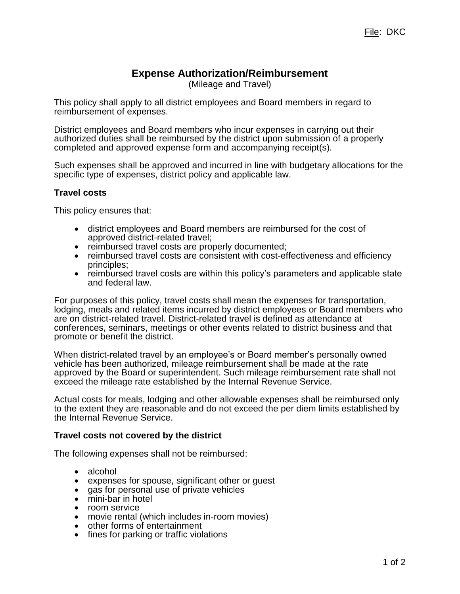## **Expense Authorization/Reimbursement**

(Mileage and Travel)

This policy shall apply to all district employees and Board members in regard to reimbursement of expenses.

District employees and Board members who incur expenses in carrying out their authorized duties shall be reimbursed by the district upon submission of a properly completed and approved expense form and accompanying receipt(s).

Such expenses shall be approved and incurred in line with budgetary allocations for the specific type of expenses, district policy and applicable law.

## **Travel costs**

This policy ensures that:

- district employees and Board members are reimbursed for the cost of approved district-related travel;
- reimbursed travel costs are properly documented;
- reimbursed travel costs are consistent with cost-effectiveness and efficiency principles;
- reimbursed travel costs are within this policy's parameters and applicable state and federal law.

For purposes of this policy, travel costs shall mean the expenses for transportation, lodging, meals and related items incurred by district employees or Board members who are on district-related travel. District-related travel is defined as attendance at conferences, seminars, meetings or other events related to district business and that promote or benefit the district.

When district-related travel by an employee's or Board member's personally owned vehicle has been authorized, mileage reimbursement shall be made at the rate approved by the Board or superintendent. Such mileage reimbursement rate shall not exceed the mileage rate established by the Internal Revenue Service.

Actual costs for meals, lodging and other allowable expenses shall be reimbursed only to the extent they are reasonable and do not exceed the per diem limits established by the Internal Revenue Service.

## **Travel costs not covered by the district**

The following expenses shall not be reimbursed:

- alcohol
- expenses for spouse, significant other or guest
- gas for personal use of private vehicles
- mini-bar in hotel
- room service
- movie rental (which includes in-room movies)
- other forms of entertainment
- fines for parking or traffic violations